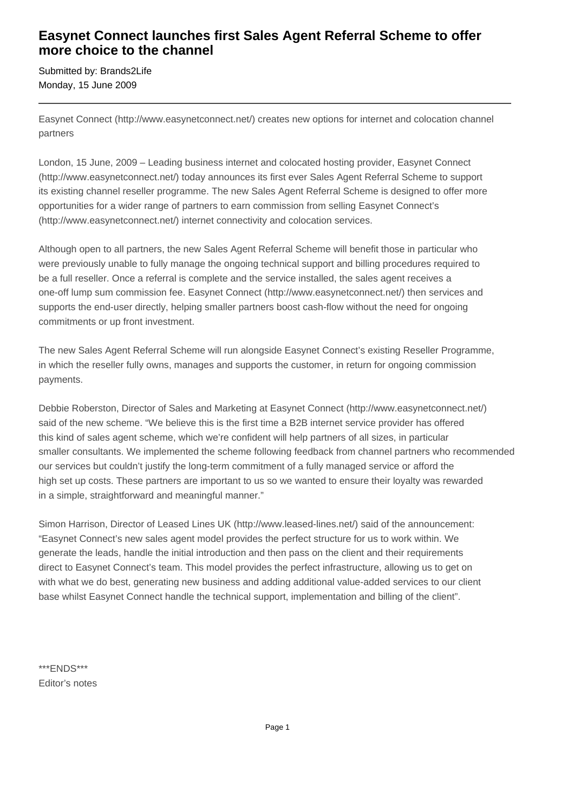## **Easynet Connect launches first Sales Agent Referral Scheme to offer more choice to the channel**

Submitted by: Brands2Life Monday, 15 June 2009

Easynet Connect (http://www.easynetconnect.net/) creates new options for internet and colocation channel partners

London, 15 June, 2009 – Leading business internet and colocated hosting provider, Easynet Connect (http://www.easynetconnect.net/) today announces its first ever Sales Agent Referral Scheme to support its existing channel reseller programme. The new Sales Agent Referral Scheme is designed to offer more opportunities for a wider range of partners to earn commission from selling Easynet Connect's (http://www.easynetconnect.net/) internet connectivity and colocation services.

Although open to all partners, the new Sales Agent Referral Scheme will benefit those in particular who were previously unable to fully manage the ongoing technical support and billing procedures required to be a full reseller. Once a referral is complete and the service installed, the sales agent receives a one-off lump sum commission fee. Easynet Connect (http://www.easynetconnect.net/) then services and supports the end-user directly, helping smaller partners boost cash-flow without the need for ongoing commitments or up front investment.

The new Sales Agent Referral Scheme will run alongside Easynet Connect's existing Reseller Programme, in which the reseller fully owns, manages and supports the customer, in return for ongoing commission payments.

Debbie Roberston, Director of Sales and Marketing at Easynet Connect (http://www.easynetconnect.net/) said of the new scheme. "We believe this is the first time a B2B internet service provider has offered this kind of sales agent scheme, which we're confident will help partners of all sizes, in particular smaller consultants. We implemented the scheme following feedback from channel partners who recommended our services but couldn't justify the long-term commitment of a fully managed service or afford the high set up costs. These partners are important to us so we wanted to ensure their loyalty was rewarded in a simple, straightforward and meaningful manner."

Simon Harrison, Director of Leased Lines UK (http://www.leased-lines.net/) said of the announcement: "Easynet Connect's new sales agent model provides the perfect structure for us to work within. We generate the leads, handle the initial introduction and then pass on the client and their requirements direct to Easynet Connect's team. This model provides the perfect infrastructure, allowing us to get on with what we do best, generating new business and adding additional value-added services to our client base whilst Easynet Connect handle the technical support, implementation and billing of the client".

\*\*\*ENDS\*\*\* Editor's notes